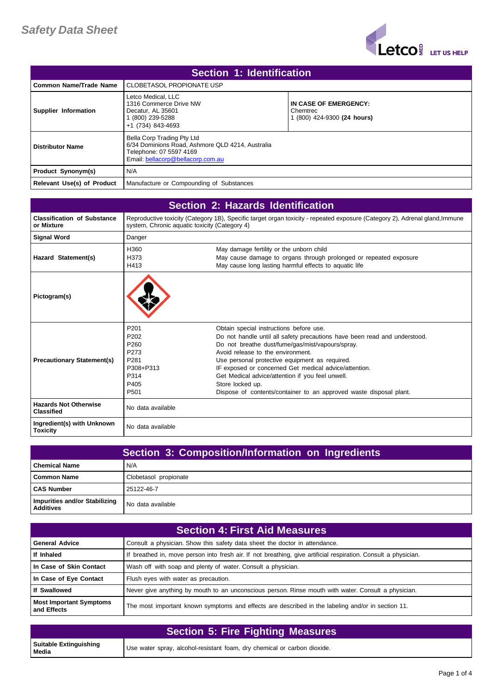

| Section 1: Identification         |                                                                                                                                                |                                                                  |
|-----------------------------------|------------------------------------------------------------------------------------------------------------------------------------------------|------------------------------------------------------------------|
| l Common Name/Trade Name          | CLOBETASOL PROPIONATE USP                                                                                                                      |                                                                  |
| Supplier Information              | Letco Medical, LLC<br>1316 Commerce Drive NW<br>Decatur. AL 35601<br>(800) 239-5288<br>+1 (734) 843-4693                                       | IN CASE OF EMERGENCY:<br>Chemtrec<br>1 (800) 424-9300 (24 hours) |
| <b>Distributor Name</b>           | Bella Corp Trading Pty Ltd<br>6/34 Dominions Road, Ashmore QLD 4214, Australia<br>Telephone: 07 5597 4169<br>Email: bellacorp@bellacorp.com.au |                                                                  |
| <b>Product Synonym(s)</b>         | N/A                                                                                                                                            |                                                                  |
| <b>Relevant Use(s) of Product</b> | Manufacture or Compounding of Substances                                                                                                       |                                                                  |

| Section 2: Hazards Identification                 |                                                                                                                           |                                                                                                                                                                                                                                                                                                                                                                                                                                                                        |
|---------------------------------------------------|---------------------------------------------------------------------------------------------------------------------------|------------------------------------------------------------------------------------------------------------------------------------------------------------------------------------------------------------------------------------------------------------------------------------------------------------------------------------------------------------------------------------------------------------------------------------------------------------------------|
| <b>Classification of Substance</b><br>or Mixture  | system, Chronic aquatic toxicity (Category 4)                                                                             | Reproductive toxicity (Category 1B), Specific target organ toxicity - repeated exposure (Category 2), Adrenal gland, Immune                                                                                                                                                                                                                                                                                                                                            |
| <b>Signal Word</b>                                | Danger                                                                                                                    |                                                                                                                                                                                                                                                                                                                                                                                                                                                                        |
| Hazard Statement(s)                               | H360<br>H373<br>H413                                                                                                      | May damage fertility or the unborn child<br>May cause damage to organs through prolonged or repeated exposure<br>May cause long lasting harmful effects to aquatic life                                                                                                                                                                                                                                                                                                |
| Pictogram(s)                                      |                                                                                                                           |                                                                                                                                                                                                                                                                                                                                                                                                                                                                        |
| <b>Precautionary Statement(s)</b>                 | P <sub>201</sub><br>P <sub>202</sub><br>P <sub>260</sub><br>P273<br>P281<br>P308+P313<br>P314<br>P405<br>P <sub>501</sub> | Obtain special instructions before use.<br>Do not handle until all safety precautions have been read and understood.<br>Do not breathe dust/fume/gas/mist/vapours/spray.<br>Avoid release to the environment.<br>Use personal protective equipment as required.<br>IF exposed or concerned Get medical advice/attention.<br>Get Medical advice/attention if you feel unwell.<br>Store locked up.<br>Dispose of contents/container to an approved waste disposal plant. |
| <b>Hazards Not Otherwise</b><br><b>Classified</b> | No data available                                                                                                         |                                                                                                                                                                                                                                                                                                                                                                                                                                                                        |
| Ingredient(s) with Unknown<br><b>Toxicity</b>     | No data available                                                                                                         |                                                                                                                                                                                                                                                                                                                                                                                                                                                                        |

| Section 3: Composition/Information on Ingredients |                       |
|---------------------------------------------------|-----------------------|
| l Chemical Name                                   | N/A                   |
| <b>Common Name</b>                                | Clobetasol propionate |
| <b>CAS Number</b>                                 | 25122-46-7            |
| Impurities and/or Stabilizing<br><b>Additives</b> | No data available     |

| <b>Section 4: First Aid Measures,</b>         |                                                                                                                 |
|-----------------------------------------------|-----------------------------------------------------------------------------------------------------------------|
| <b>General Advice</b>                         | Consult a physician. Show this safety data sheet the doctor in attendance.                                      |
| If Inhaled                                    | If breathed in, move person into fresh air. If not breathing, give artificial respiration. Consult a physician. |
| In Case of Skin Contact                       | Wash off with soap and plenty of water. Consult a physician.                                                    |
| In Case of Eye Contact                        | Flush eyes with water as precaution.                                                                            |
| If Swallowed                                  | Never give anything by mouth to an unconscious person. Rinse mouth with water. Consult a physician.             |
| <b>Most Important Symptoms</b><br>and Effects | The most important known symptoms and effects are described in the labeling and/or in section 11.               |

| <b>Section 5: Fire Fighting Measures</b> |                                                                          |
|------------------------------------------|--------------------------------------------------------------------------|
| Suitable Extinguishing<br>Media          | Use water spray, alcohol-resistant foam, dry chemical or carbon dioxide. |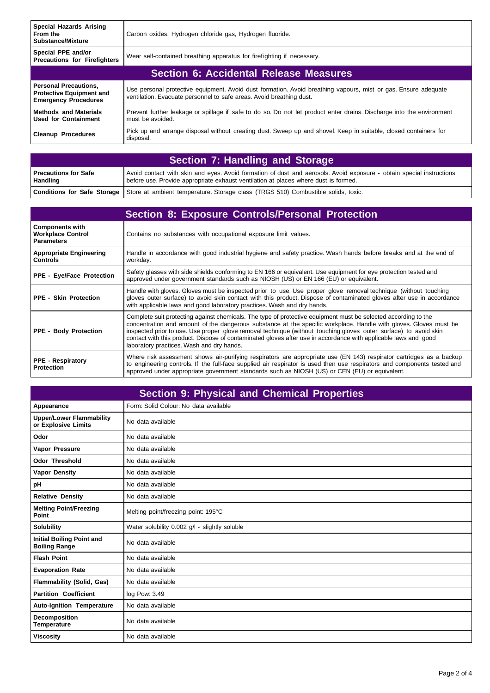| <b>Special Hazards Arising</b><br>From the<br><b>Substance/Mixture</b>                         | Carbon oxides, Hydrogen chloride gas, Hydrogen fluoride.                                                                                                                               |  |
|------------------------------------------------------------------------------------------------|----------------------------------------------------------------------------------------------------------------------------------------------------------------------------------------|--|
| Special PPE and/or<br><b>Precautions for Firefighters</b>                                      | Wear self-contained breathing apparatus for firefighting if necessary.                                                                                                                 |  |
| <b>Section 6: Accidental Release Measures</b>                                                  |                                                                                                                                                                                        |  |
| <b>Personal Precautions,</b><br><b>Protective Equipment and</b><br><b>Emergency Procedures</b> | Use personal protective equipment. Avoid dust formation. Avoid breathing vapours, mist or gas. Ensure adequate<br>ventilation. Evacuate personnel to safe areas. Avoid breathing dust. |  |
| <b>Methods and Materials</b><br><b>Used for Containment</b>                                    | Prevent further leakage or spillage if safe to do so. Do not let product enter drains. Discharge into the environment<br>must be avoided.                                              |  |
| <b>Cleanup Procedures</b>                                                                      | Pick up and arrange disposal without creating dust. Sweep up and shovel. Keep in suitable, closed containers for<br>disposal.                                                          |  |

| <b>Section 7: Handling and Storage</b>  |                                                                                                                                                                                                             |
|-----------------------------------------|-------------------------------------------------------------------------------------------------------------------------------------------------------------------------------------------------------------|
| <b>Precautions for Safe</b><br>Handling | Avoid contact with skin and eyes. Avoid formation of dust and aerosols. Avoid exposure - obtain special instructions<br>before use. Provide appropriate exhaust ventilation at places where dust is formed. |
|                                         | <b>Conditions for Safe Storage</b> Store at ambient temperature. Storage class (TRGS 510) Combustible solids, toxic.                                                                                        |

|                                                                         | <b>Section 8: Exposure Controls/Personal Protection</b>                                                                                                                                                                                                                                                                                                                                                                                                                                                                 |
|-------------------------------------------------------------------------|-------------------------------------------------------------------------------------------------------------------------------------------------------------------------------------------------------------------------------------------------------------------------------------------------------------------------------------------------------------------------------------------------------------------------------------------------------------------------------------------------------------------------|
| <b>Components with</b><br><b>Workplace Control</b><br><b>Parameters</b> | Contains no substances with occupational exposure limit values.                                                                                                                                                                                                                                                                                                                                                                                                                                                         |
| <b>Appropriate Engineering</b><br><b>Controls</b>                       | Handle in accordance with good industrial hygiene and safety practice. Wash hands before breaks and at the end of<br>workday.                                                                                                                                                                                                                                                                                                                                                                                           |
| <b>PPE - Eye/Face Protection</b>                                        | Safety glasses with side shields conforming to EN 166 or equivalent. Use equipment for eye protection tested and<br>approved under government standards such as NIOSH (US) or EN 166 (EU) or equivalent.                                                                                                                                                                                                                                                                                                                |
| <b>PPE - Skin Protection</b>                                            | Handle with gloves. Gloves must be inspected prior to use. Use proper glove removal technique (without touching<br>gloves outer surface) to avoid skin contact with this product. Dispose of contaminated gloves after use in accordance<br>with applicable laws and good laboratory practices. Wash and dry hands.                                                                                                                                                                                                     |
| <b>PPE - Body Protection</b>                                            | Complete suit protecting against chemicals. The type of protective equipment must be selected according to the<br>concentration and amount of the dangerous substance at the specific workplace. Handle with gloves. Gloves must be<br>inspected prior to use. Use proper glove removal technique (without touching gloves outer surface) to avoid skin<br>contact with this product. Dispose of contaminated gloves after use in accordance with applicable laws and good<br>laboratory practices. Wash and dry hands. |
| <b>PPE - Respiratory</b><br>Protection                                  | Where risk assessment shows air-purifying respirators are appropriate use (EN 143) respirator cartridges as a backup<br>to engineering controls. If the full-face supplied air respirator is used then use respirators and components tested and<br>approved under appropriate government standards such as NIOSH (US) or CEN (EU) or equivalent.                                                                                                                                                                       |

| <b>Section 9: Physical and Chemical Properties</b>       |                                               |
|----------------------------------------------------------|-----------------------------------------------|
| Appearance                                               | Form: Solid Colour: No data available         |
| <b>Upper/Lower Flammability</b><br>or Explosive Limits   | No data available                             |
| Odor                                                     | No data available                             |
| Vapor Pressure                                           | No data available                             |
| <b>Odor Threshold</b>                                    | No data available                             |
| <b>Vapor Density</b>                                     | No data available                             |
| pH                                                       | No data available                             |
| <b>Relative Density</b>                                  | No data available                             |
| <b>Melting Point/Freezing</b><br>Point                   | Melting point/freezing point: 195°C           |
| <b>Solubility</b>                                        | Water solubility 0.002 g/l - slightly soluble |
| <b>Initial Boiling Point and</b><br><b>Boiling Range</b> | No data available                             |
| <b>Flash Point</b>                                       | No data available                             |
| <b>Evaporation Rate</b>                                  | No data available                             |
| <b>Flammability (Solid, Gas)</b>                         | No data available                             |
| <b>Partition Coefficient</b>                             | log Pow: 3.49                                 |
| <b>Auto-Ignition Temperature</b>                         | No data available                             |
| <b>Decomposition</b><br><b>Temperature</b>               | No data available                             |
| <b>Viscosity</b>                                         | No data available                             |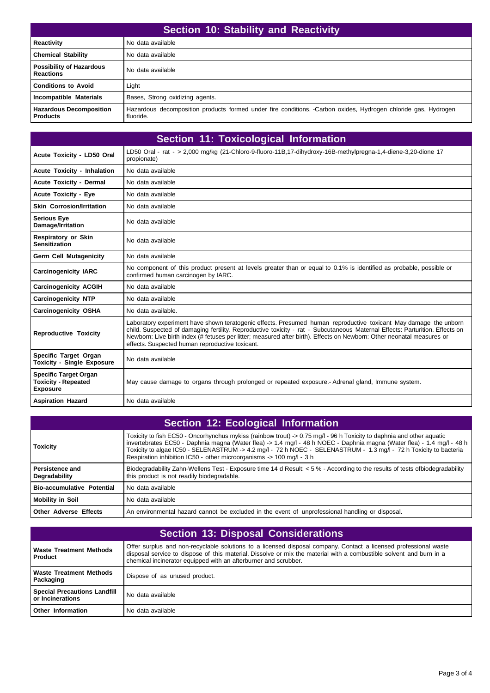| Section 10: Stability and Reactivity                |                                                                                                                             |
|-----------------------------------------------------|-----------------------------------------------------------------------------------------------------------------------------|
| <b>Reactivity</b>                                   | No data available                                                                                                           |
| <b>Chemical Stability</b>                           | No data available                                                                                                           |
| <b>Possibility of Hazardous</b><br><b>Reactions</b> | No data available                                                                                                           |
| <b>Conditions to Avoid</b>                          | Light                                                                                                                       |
| Incompatible Materials                              | Bases, Strong oxidizing agents.                                                                                             |
| <b>Hazardous Decomposition</b><br><b>Products</b>   | Hazardous decomposition products formed under fire conditions. -Carbon oxides, Hydrogen chloride gas, Hydrogen<br>fluoride. |

|                                                                               | <b>Section 11: Toxicological Information</b>                                                                                                                                                                                                                                                                                                                                                                                  |
|-------------------------------------------------------------------------------|-------------------------------------------------------------------------------------------------------------------------------------------------------------------------------------------------------------------------------------------------------------------------------------------------------------------------------------------------------------------------------------------------------------------------------|
| Acute Toxicity - LD50 Oral                                                    | LD50 Oral - rat - > 2,000 mg/kg (21-Chloro-9-fluoro-11B,17-dihydroxy-16B-methylpregna-1,4-diene-3,20-dione 17<br>propionate)                                                                                                                                                                                                                                                                                                  |
| <b>Acute Toxicity - Inhalation</b>                                            | No data available                                                                                                                                                                                                                                                                                                                                                                                                             |
| <b>Acute Toxicity - Dermal</b>                                                | No data available                                                                                                                                                                                                                                                                                                                                                                                                             |
| <b>Acute Toxicity - Eye</b>                                                   | No data available                                                                                                                                                                                                                                                                                                                                                                                                             |
| <b>Skin Corrosion/Irritation</b>                                              | No data available                                                                                                                                                                                                                                                                                                                                                                                                             |
| <b>Serious Eye</b><br>Damage/Irritation                                       | No data available                                                                                                                                                                                                                                                                                                                                                                                                             |
| <b>Respiratory or Skin</b><br><b>Sensitization</b>                            | No data available                                                                                                                                                                                                                                                                                                                                                                                                             |
| <b>Germ Cell Mutagenicity</b>                                                 | No data available                                                                                                                                                                                                                                                                                                                                                                                                             |
| <b>Carcinogenicity IARC</b>                                                   | No component of this product present at levels greater than or equal to 0.1% is identified as probable, possible or<br>confirmed human carcinogen by IARC.                                                                                                                                                                                                                                                                    |
| <b>Carcinogenicity ACGIH</b>                                                  | No data available                                                                                                                                                                                                                                                                                                                                                                                                             |
| <b>Carcinogenicity NTP</b>                                                    | No data available                                                                                                                                                                                                                                                                                                                                                                                                             |
| <b>Carcinogenicity OSHA</b>                                                   | No data available.                                                                                                                                                                                                                                                                                                                                                                                                            |
| <b>Reproductive Toxicity</b>                                                  | Laboratory experiment have shown teratogenic effects. Presumed human reproductive toxicant May damage the unborn<br>child. Suspected of damaging fertility. Reproductive toxicity - rat - Subcutaneous Maternal Effects: Parturition. Effects on<br>Newborn: Live birth index (# fetuses per litter; measured after birth). Effects on Newborn: Other neonatal measures or<br>effects. Suspected human reproductive toxicant. |
| Specific Target Organ<br><b>Toxicity - Single Exposure</b>                    | No data available                                                                                                                                                                                                                                                                                                                                                                                                             |
| <b>Specific Target Organ</b><br><b>Toxicity - Repeated</b><br><b>Exposure</b> | May cause damage to organs through prolonged or repeated exposure.- Adrenal gland, Immune system.                                                                                                                                                                                                                                                                                                                             |
| <b>Aspiration Hazard</b>                                                      | No data available                                                                                                                                                                                                                                                                                                                                                                                                             |

| Section 12: Ecological Information      |                                                                                                                                                                                                                                                                                                                                                                                                                                              |  |
|-----------------------------------------|----------------------------------------------------------------------------------------------------------------------------------------------------------------------------------------------------------------------------------------------------------------------------------------------------------------------------------------------------------------------------------------------------------------------------------------------|--|
| <b>Toxicity</b>                         | Toxicity to fish EC50 - Oncorhynchus mykiss (rainbow trout) -> 0.75 mg/l - 96 h Toxicity to daphnia and other aquatic<br>invertebrates EC50 - Daphnia magna (Water flea) -> 1.4 mg/l - 48 h NOEC - Daphnia magna (Water flea) - 1.4 mg/l - 48 h<br>Toxicity to algae IC50 - SELENASTRUM -> 4.2 mg/l - 72 h NOEC - SELENASTRUM - 1.3 mg/l - 72 h Toxicity to bacteria<br>Respiration inhibition IC50 - other microorganisms -> 100 mg/l - 3 h |  |
| <b>Persistence and</b><br>Degradability | Biodegradability Zahn-Wellens Test - Exposure time 14 d Result: < 5 % - According to the results of tests ofbiodegradability<br>this product is not readily biodegradable.                                                                                                                                                                                                                                                                   |  |
| <b>Bio-accumulative Potential</b>       | No data available                                                                                                                                                                                                                                                                                                                                                                                                                            |  |
| <b>Mobility in Soil</b>                 | No data available                                                                                                                                                                                                                                                                                                                                                                                                                            |  |
| <b>Other Adverse Effects</b>            | An environmental hazard cannot be excluded in the event of unprofessional handling or disposal.                                                                                                                                                                                                                                                                                                                                              |  |

| <b>Section 13: Disposal Considerations</b>              |                                                                                                                                                                                                                                                                                                            |  |
|---------------------------------------------------------|------------------------------------------------------------------------------------------------------------------------------------------------------------------------------------------------------------------------------------------------------------------------------------------------------------|--|
| <b>Waste Treatment Methods</b><br><b>Product</b>        | Offer surplus and non-recyclable solutions to a licensed disposal company. Contact a licensed professional waste<br>disposal service to dispose of this material. Dissolve or mix the material with a combustible solvent and burn in a<br>chemical incinerator equipped with an afterburner and scrubber. |  |
| <b>Waste Treatment Methods</b><br>Packaging             | Dispose of as unused product.                                                                                                                                                                                                                                                                              |  |
| <b>Special Precautions Landfill</b><br>or Incinerations | No data available                                                                                                                                                                                                                                                                                          |  |
| Other Information                                       | No data available                                                                                                                                                                                                                                                                                          |  |